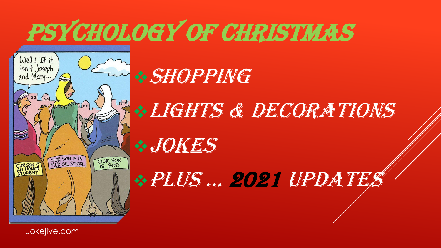# PSYCHOLOGY OF CHRISTMAS



# ❖Shopping

❖Lights & decorations

### ❖Jokes

**※ PLUS … 2021 UPDATES** 

Jokejive.com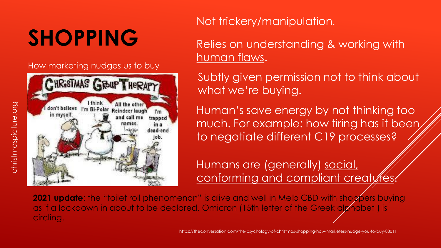# **SHOPPING**

#### How marketing nudges us to buy



Not trickery/manipulation.

Relies on understanding & working with human flaws.

Subtly given permission not to think about what we're buying.

Human's save energy by not thinking too much. For example: how tiring has it been to negotiate different C19 processes?

Humans are (generally) social, [conforming and compliant creatures](http://www.soc.ucsb.edu/faculty/friedkin/Syllabi/Soc147/Week3Reading.pdf).

**2021 update:** the "toilet roll phenomenon" is alive and well in Melb CBD with shoppers buying as if a lockdown in about to be declared. Omicron (15th letter of the Greek alphabet ) is circling.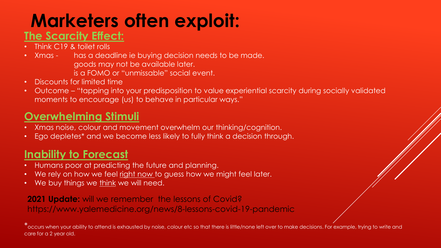# **Marketers often exploit:**

#### **The Scarcity Effect:**

- Think C19 & toilet rolls
- Xmas has a deadline ie buying decision needs to be made.
	- goods may not be available later.
	- is a FOMO or "unmissable" social event.
- Discounts for limited time
- Outcome "tapping into your predisposition to value experiential scarcity during socially validated moments to encourage (us) to behave in particular ways."

#### **Overwhelming Stimuli**

- Xmas noise, colour and movement overwhelm our thinking/cognition.
- Ego depletes\* and we become less likely to fully think a decision through.

#### **Inability to Forecast**

- Humans poor at predicting the future and planning.
- We rely on how we feel right now to guess how we might feel later.
- We buy things we think we will need.

#### **2021 Update:** will we remember the lessons of Covid? https://www.yalemedicine.org/news/8-lessons-covid-19-pandemic

\*occurs when your ability to attend is exhausted by noise, colour etc so that there is little/none left over to make decisions. For example, trying to write and care for a 2 year old.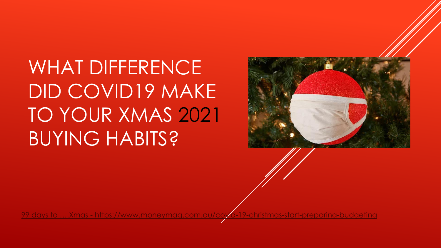## WHAT DIFFERENCE DID COVID19 MAKE TO YOUR XMAS 2021 BUYING HABITS?



99 days to ….Xmas - <https://www.moneymag.com.au/covid-19-christmas-start-preparing-budgeting>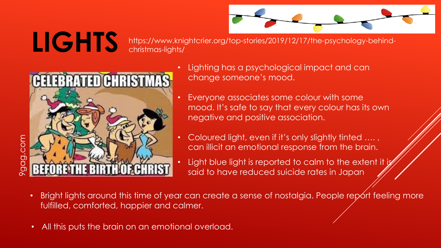

LIGHTS https://www.knightcrier.org/top-stories/2019/12/17/the-psychology-behind-<br>Christmas-liahts/ christmas-lights/



- Lighting has a psychological impact and can change someone's mood.
	- Everyone associates some colour with some mood. It's safe to say that every colour has its own negative and positive association.
- Coloured light, even if it's only slightly tinted …. , can illicit an emotional response from the brain.
- Light blue light is reported to calm to the extent it is said to have reduced suicide rates in Japan
- Bright lights around this time of year can create a sense of nostalgia. People repórt feeling more fulfilled, comforted, happier and calmer.
- All this puts the brain on an emotional overload.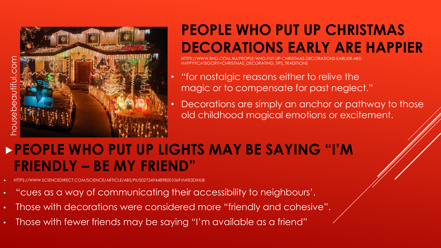

#### **PEOPLE WHO PUT UP CHRISTMAS DECORATIONS EARLY ARE HAPPIER**

WW.BHG.COM.AU/PEOPLE-WHO-PUT-UP-CHRISTMAS-DECORATIONS-EARLIER-ARE-HAPPY?CATEGORY=CHRISTMAS\_DECORATING\_TIPS\_TRADITIONS

- "for nostalgic reasons either to relive the magic or to compensate for past neglect."
	- Decorations are simply an anchor or pathway to those old childhood magical emotions or excitement.

#### **PEOPLE WHO PUT UP LIGHTS MAY BE SAYING "I'M FRIENDLY – BE MY FRIEND"**

- SCIENCEDIRECT.COM/SCIENCE/ARTICLE/ABS/PII/S0272494489800106?VIA%3DIHUB
- "cues as a way of communicating their accessibility to neighbours'.
- Those with decorations were considered more "friendly and cohesive".
- Those with fewer friends may be saying "I'm available as a friend"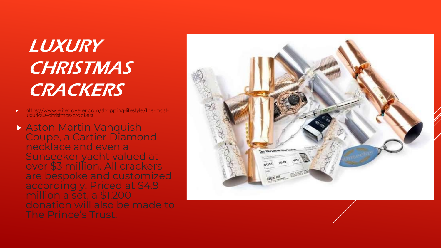### LUXURY **CHRISTMAS CRACKERS**

- [https://www.elitetraveler.com/shopping-lifestyle/the-most](https://www.elitetraveler.com/shopping-lifestyle/the-most-luxurious-christmas-crackers)luxurious-christmas-crackers
- Aston Martin Vanquish Coupe, a Cartier Diamond necklace and even a Sunseeker yacht valued at over \$3 million. All crackers are bespoke and customized accordingly. Priced at \$4.9 million a set, a \$1,200 donation will also be made to The Prince's Trust.

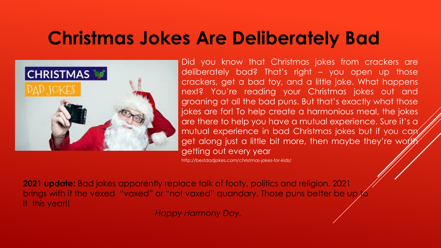#### **Christmas Jokes Are Deliberately Bad**



Did you know that Christmas jokes from crackers are deliberately bad? That's right – you open up those crackers, get a bad toy, and a little joke. What happens next? You're reading your Christmas jokes out and groaning at all the bad puns. But that's exactly what those jokes are for! To help create a harmonious meal, the jokes are there to help you have a mutual experience. Sure it's a mutual experience in bad Christmas jokes but if you can get along just a little bit more, then maybe they're worth getting out every year

http://bestdadjokes.com/christmas-jokes-for-kids/

**2021 update:** Bad jokes apparently replace talk of footy, politics and religion. 2021 brings with it the vexed "vaxed" or "not vaxed" quandary. Those puns better be up; it this year!!

*Happy Harmony Day.*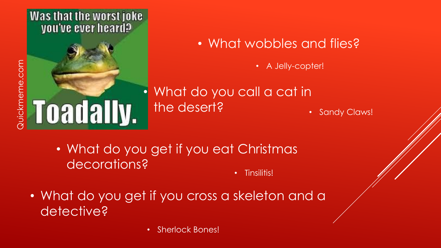

Toadally.

#### • What wobbles and flies?

• A Jelly-copter!

What do you call a cat in the desert? • Sandy Claws!

• What do you get if you eat Christmas decorations?

• Tinsilitis!

- What do you get if you cross a skeleton and a detective?
	- Sherlock Bones!

uickmeme.com Quickmeme.com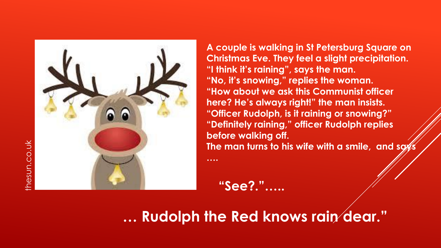

**A couple is walking in St Petersburg Square on Christmas Eve. They feel a slight precipitation. "I think it's raining", says the man. "No, it's snowing," replies the woman. "How about we ask this Communist officer here? He's always right!" the man insists. "Officer Rudolph, is it raining or snowing?" "Definitely raining," officer Rudolph replies before walking off. The man turns to his wife with a smile, and says ….**

**"See?."…..**

**… Rudolph the Red knows rain dear."**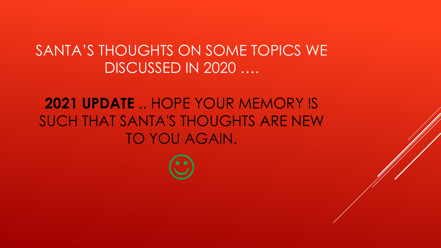#### SANTA'S THOUGHTS ON SOME TOPICS WE DISCUSSED IN 2020 ….

#### **2021 UPDATE** .. HOPE YOUR MEMORY IS SUCH THAT SANTA'S THOUGHTS ARE NEW TO YOU AGAIN.

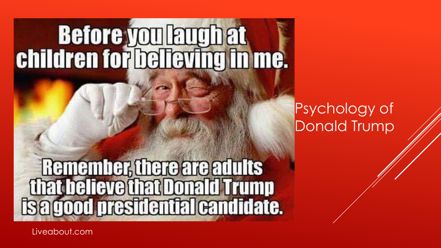# Before you laugh at<br>children for believing in me.

#### Psychology of Donald Trump

Remember, there are adults<br>that believe that Donald Trump<br>Is a good presidential candidate.

Liveabout.com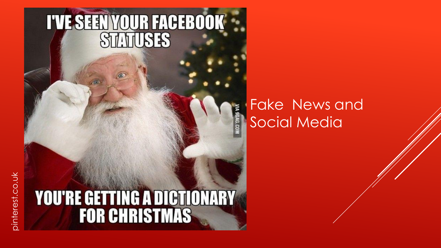# ointerest.co.uk pinterest.co.uk

# **TYE SEEN YOUR FACEBOOK**

**YOU'RE GETTING A DIGTIONARY** 

VIA 96AG.CO

#### Fake News and Social Media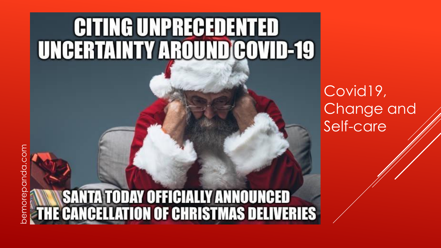# **CITING UNPRECEDENTED UNCERTAINTY AROUND COVID-19**

# bemorepanda.com **WE SANTA TODAY OFFICIALLY ANNOUNCED<br>THE CANCELLATION OF CHRISTMAS DELIVERIES**

com

anda.

emore

Covid19, Change and Self-care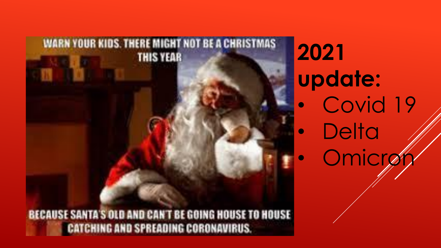

**2021 update:** Covid 19 **Delta** Omicrø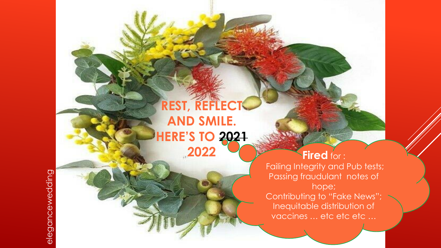#### **REST, REFLECT AND SMILE. HERE'S TO 2021 2022**

**Fired** for : Failing Integrity and Pub tests; Passing fraudulant notes of hope; Contributing to "Fake News"; Inequitable distribution of vaccines … etc etc etc …